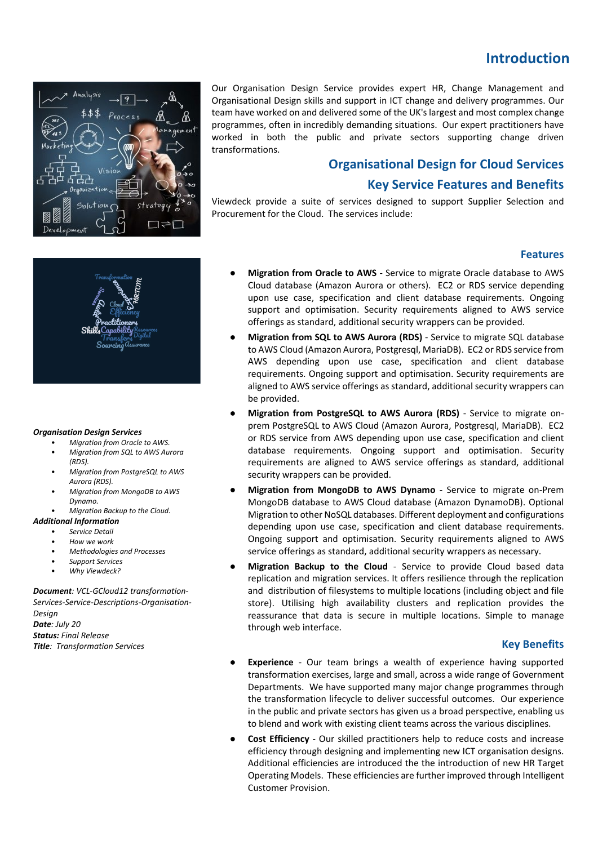# **Introduction**



Our Organisation Design Service provides expert HR, Change Management and Organisational Design skills and support in ICT change and delivery programmes. Our team have worked on and delivered some of the UK's largest and most complex change programmes, often in incredibly demanding situations. Our expert practitioners have worked in both the public and private sectors supporting change driven transformations.

# **Organisational Design for Cloud Services**

## **Key Service Features and Benefits**

Viewdeck provide a suite of services designed to support Supplier Selection and Procurement for the Cloud. The services include:

#### **Features**



#### *Organisation Design Services*

- *Migration from Oracle to AWS.*
- *Migration from SQL to AWS Aurora (RDS).*
- *Migration from PostgreSQL to AWS Aurora (RDS).*
- *Migration from MongoDB to AWS Dynamo.*

• *Migration Backup to the Cloud. Additional Information*

- *Service Detail*
- *How we work*
- *Methodologies and Processes*
- *Support Services*
- *Why Viewdeck?*

*Document: VCL-GCloud12 transformation-Services-Service-Descriptions-Organisation-Design Date: July 20 Status: Final Release Title: Transformation Services*

- **Migration from Oracle to AWS** Service to migrate Oracle database to AWS Cloud database (Amazon Aurora or others). EC2 or RDS service depending upon use case, specification and client database requirements. Ongoing support and optimisation. Security requirements aligned to AWS service offerings as standard, additional security wrappers can be provided.
- **Migration from SQL to AWS Aurora (RDS)** Service to migrate SQL database to AWS Cloud (Amazon Aurora, Postgresql, MariaDB). EC2 or RDS service from AWS depending upon use case, specification and client database requirements. Ongoing support and optimisation. Security requirements are aligned to AWS service offerings as standard, additional security wrappers can be provided.
- **Migration from PostgreSQL to AWS Aurora (RDS)** Service to migrate onprem PostgreSQL to AWS Cloud (Amazon Aurora, Postgresql, MariaDB). EC2 or RDS service from AWS depending upon use case, specification and client database requirements. Ongoing support and optimisation. Security requirements are aligned to AWS service offerings as standard, additional security wrappers can be provided.
- **Migration from MongoDB to AWS Dynamo** Service to migrate on-Prem MongoDB database to AWS Cloud database (Amazon DynamoDB). Optional Migration to other NoSQL databases. Different deployment and configurations depending upon use case, specification and client database requirements. Ongoing support and optimisation. Security requirements aligned to AWS service offerings as standard, additional security wrappers as necessary.
- **Migration Backup to the Cloud** Service to provide Cloud based data replication and migration services. It offers resilience through the replication and distribution of filesystems to multiple locations (including object and file store). Utilising high availability clusters and replication provides the reassurance that data is secure in multiple locations. Simple to manage through web interface.

#### **Key Benefits**

- **Experience** Our team brings a wealth of experience having supported transformation exercises, large and small, across a wide range of Government Departments. We have supported many major change programmes through the transformation lifecycle to deliver successful outcomes. Our experience in the public and private sectors has given us a broad perspective, enabling us to blend and work with existing client teams across the various disciplines.
- **Cost Efficiency** Our skilled practitioners help to reduce costs and increase efficiency through designing and implementing new ICT organisation designs. Additional efficiencies are introduced the the introduction of new HR Target Operating Models. These efficiencies are further improved through Intelligent Customer Provision.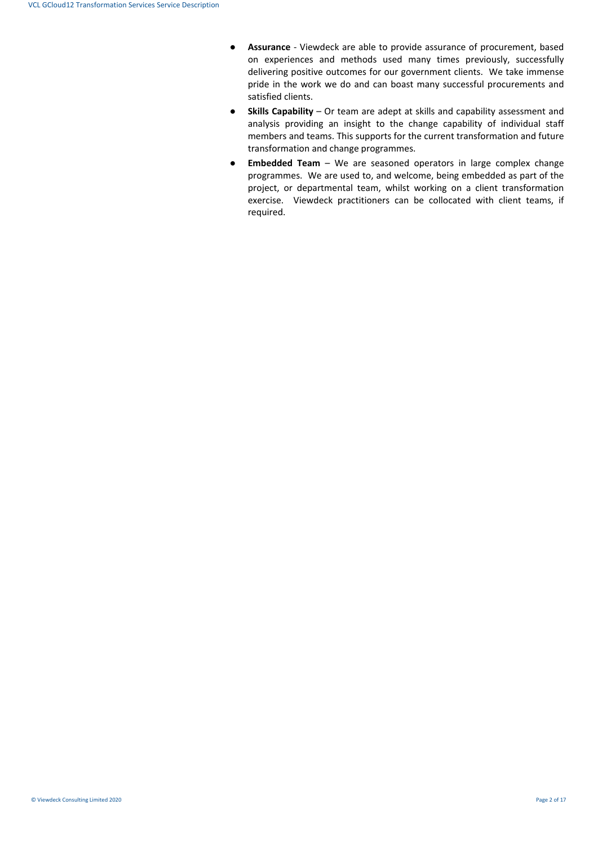- **Assurance** Viewdeck are able to provide assurance of procurement, based on experiences and methods used many times previously, successfully delivering positive outcomes for our government clients. We take immense pride in the work we do and can boast many successful procurements and satisfied clients.
- **Skills Capability** Or team are adept at skills and capability assessment and analysis providing an insight to the change capability of individual staff members and teams. This supports for the current transformation and future transformation and change programmes.
- **Embedded Team** We are seasoned operators in large complex change programmes. We are used to, and welcome, being embedded as part of the project, or departmental team, whilst working on a client transformation exercise. Viewdeck practitioners can be collocated with client teams, if required.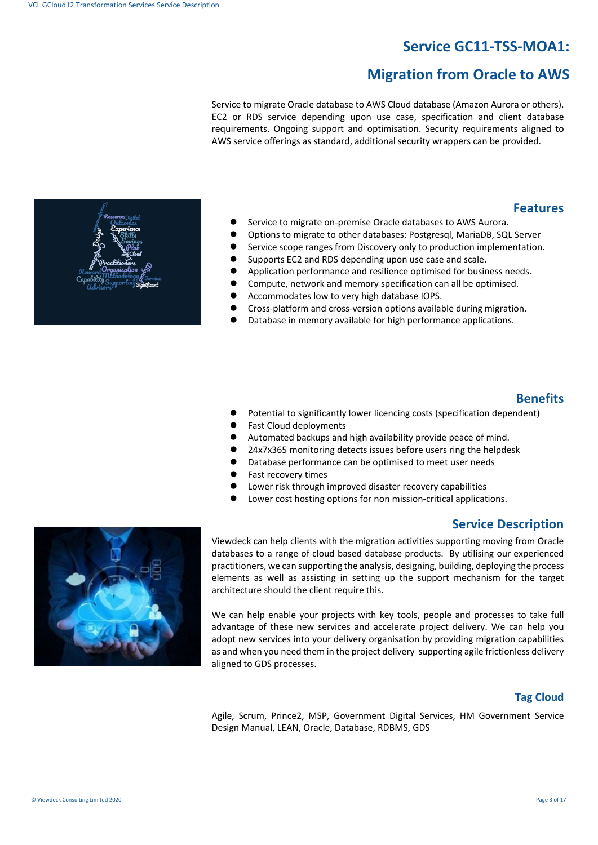# **Service GC11-TSS-MOA1:**

# **Migration from Oracle to AWS**

Service to migrate Oracle database to AWS Cloud database (Amazon Aurora or others). EC2 or RDS service depending upon use case, specification and client database requirements. Ongoing support and optimisation. Security requirements aligned to AWS service offerings as standard, additional security wrappers can be provided.

#### **Features**

- Service to migrate on-premise Oracle databases to AWS Aurora.
- Options to migrate to other databases: Postgresql, MariaDB, SQL Server
- Service scope ranges from Discovery only to production implementation.
- Supports EC2 and RDS depending upon use case and scale.
- Application performance and resilience optimised for business needs.
- Compute, network and memory specification can all be optimised.
- Accommodates low to very high database IOPS.
- Cross-platform and cross-version options available during migration.
- Database in memory available for high performance applications.

### **Benefits**

- Potential to significantly lower licencing costs (specification dependent)
- Fast Cloud deployments
- Automated backups and high availability provide peace of mind.
- 24x7x365 monitoring detects issues before users ring the helpdesk
- Database performance can be optimised to meet user needs
- **•** Fast recovery times
- Lower risk through improved disaster recovery capabilities
- Lower cost hosting options for non mission-critical applications.

#### **Service Description**



Viewdeck can help clients with the migration activities supporting moving from Oracle databases to a range of cloud based database products. By utilising our experienced practitioners, we can supporting the analysis, designing, building, deploying the process elements as well as assisting in setting up the support mechanism for the target architecture should the client require this.

We can help enable your projects with key tools, people and processes to take full advantage of these new services and accelerate project delivery. We can help you adopt new services into your delivery organisation by providing migration capabilities as and when you need them in the project delivery supporting agile frictionless delivery aligned to GDS processes.

#### **Tag Cloud**

Agile, Scrum, Prince2, MSP, Government Digital Services, HM Government Service Design Manual, LEAN, Oracle, Database, RDBMS, GDS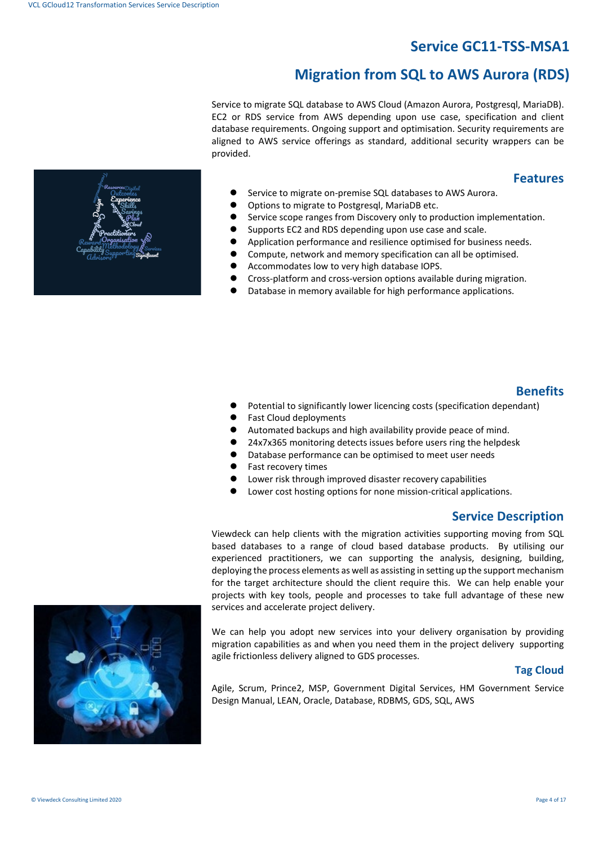# **Service GC11-TSS-MSA1**

# **Migration from SQL to AWS Aurora (RDS)**

Service to migrate SQL database to AWS Cloud (Amazon Aurora, Postgresql, MariaDB). EC2 or RDS service from AWS depending upon use case, specification and client database requirements. Ongoing support and optimisation. Security requirements are aligned to AWS service offerings as standard, additional security wrappers can be provided.

### **Features**

- Service to migrate on-premise SQL databases to AWS Aurora.
- Options to migrate to Postgresql, MariaDB etc.
- Service scope ranges from Discovery only to production implementation.
- Supports EC2 and RDS depending upon use case and scale.
- Application performance and resilience optimised for business needs.
- Compute, network and memory specification can all be optimised.
- **•** Accommodates low to very high database IOPS.
- Cross-platform and cross-version options available during migration.
- Database in memory available for high performance applications.

### **Benefits**

- Potential to significantly lower licencing costs (specification dependant)
- Fast Cloud deployments
- Automated backups and high availability provide peace of mind.
- 24x7x365 monitoring detects issues before users ring the helpdesk
- Database performance can be optimised to meet user needs
- **•** Fast recovery times
- Lower risk through improved disaster recovery capabilities
- Lower cost hosting options for none mission-critical applications.

#### **Service Description**

Viewdeck can help clients with the migration activities supporting moving from SQL based databases to a range of cloud based database products. By utilising our experienced practitioners, we can supporting the analysis, designing, building, deploying the process elements as well as assisting in setting up the support mechanism for the target architecture should the client require this. We can help enable your projects with key tools, people and processes to take full advantage of these new services and accelerate project delivery.

We can help you adopt new services into your delivery organisation by providing migration capabilities as and when you need them in the project delivery supporting agile frictionless delivery aligned to GDS processes.

#### **Tag Cloud**

Agile, Scrum, Prince2, MSP, Government Digital Services, HM Government Service Design Manual, LEAN, Oracle, Database, RDBMS, GDS, SQL, AWS



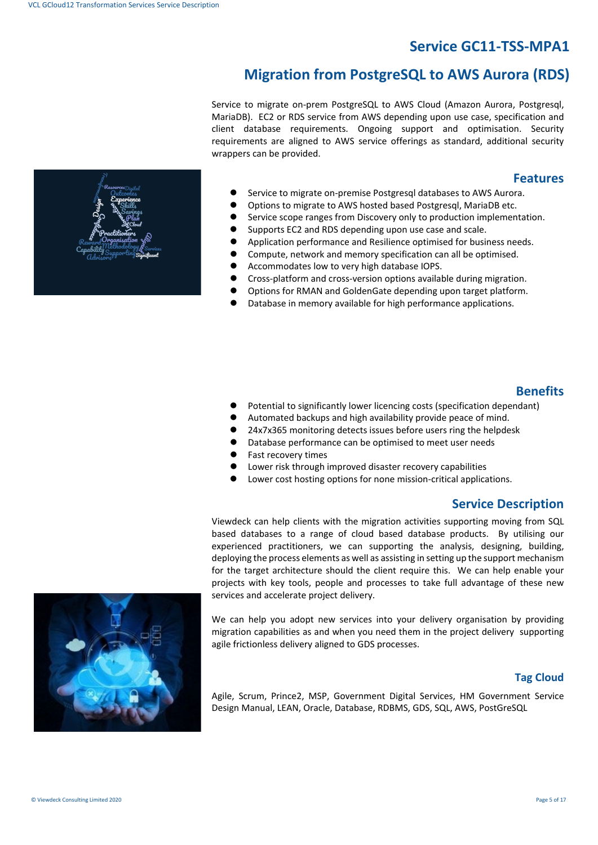# **Service GC11-TSS-MPA1**

# **Migration from PostgreSQL to AWS Aurora (RDS)**

Service to migrate on-prem PostgreSQL to AWS Cloud (Amazon Aurora, Postgresql, MariaDB). EC2 or RDS service from AWS depending upon use case, specification and client database requirements. Ongoing support and optimisation. Security requirements are aligned to AWS service offerings as standard, additional security wrappers can be provided.

### **Features**

- Service to migrate on-premise Postgresql databases to AWS Aurora.
- Options to migrate to AWS hosted based Postgresql, MariaDB etc.
- Service scope ranges from Discovery only to production implementation.
- Supports EC2 and RDS depending upon use case and scale.
- Application performance and Resilience optimised for business needs.
- Compute, network and memory specification can all be optimised.
- **•** Accommodates low to very high database IOPS.
- Cross-platform and cross-version options available during migration.
- Options for RMAN and GoldenGate depending upon target platform.
- Database in memory available for high performance applications.

### **Benefits**

- Potential to significantly lower licencing costs (specification dependant)
- Automated backups and high availability provide peace of mind.
- 24x7x365 monitoring detects issues before users ring the helpdesk
- Database performance can be optimised to meet user needs
- **•** Fast recovery times
- Lower risk through improved disaster recovery capabilities
- Lower cost hosting options for none mission-critical applications.

### **Service Description**

Viewdeck can help clients with the migration activities supporting moving from SQL based databases to a range of cloud based database products. By utilising our experienced practitioners, we can supporting the analysis, designing, building, deploying the process elements as well as assisting in setting up the support mechanism for the target architecture should the client require this. We can help enable your projects with key tools, people and processes to take full advantage of these new services and accelerate project delivery.

We can help you adopt new services into your delivery organisation by providing migration capabilities as and when you need them in the project delivery supporting agile frictionless delivery aligned to GDS processes.

#### **Tag Cloud**

Agile, Scrum, Prince2, MSP, Government Digital Services, HM Government Service Design Manual, LEAN, Oracle, Database, RDBMS, GDS, SQL, AWS, PostGreSQL

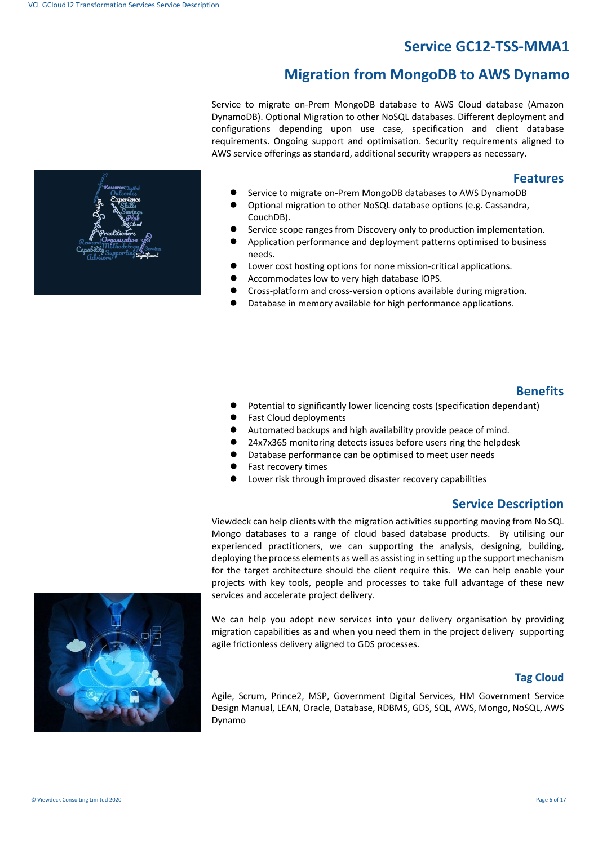# **Service GC12-TSS-MMA1**

# **Migration from MongoDB to AWS Dynamo**

Service to migrate on-Prem MongoDB database to AWS Cloud database (Amazon DynamoDB). Optional Migration to other NoSQL databases. Different deployment and configurations depending upon use case, specification and client database requirements. Ongoing support and optimisation. Security requirements aligned to AWS service offerings as standard, additional security wrappers as necessary.

#### **Features**

- Service to migrate on-Prem MongoDB databases to AWS DynamoDB
- Optional migration to other NoSQL database options (e.g. Cassandra, CouchDB).
- Service scope ranges from Discovery only to production implementation.
- Application performance and deployment patterns optimised to business needs.
- Lower cost hosting options for none mission-critical applications.
- Accommodates low to very high database IOPS.
- Cross-platform and cross-version options available during migration.
- Database in memory available for high performance applications.

### **Benefits**

- Potential to significantly lower licencing costs (specification dependant)
- Fast Cloud deployments
- Automated backups and high availability provide peace of mind.
- 24x7x365 monitoring detects issues before users ring the helpdesk
- Database performance can be optimised to meet user needs
- Fast recovery times
- Lower risk through improved disaster recovery capabilities

### **Service Description**

Viewdeck can help clients with the migration activities supporting moving from No SQL Mongo databases to a range of cloud based database products. By utilising our experienced practitioners, we can supporting the analysis, designing, building, deploying the process elements as well as assisting in setting up the support mechanism for the target architecture should the client require this. We can help enable your projects with key tools, people and processes to take full advantage of these new services and accelerate project delivery.

We can help you adopt new services into your delivery organisation by providing migration capabilities as and when you need them in the project delivery supporting agile frictionless delivery aligned to GDS processes.

### **Tag Cloud**

Agile, Scrum, Prince2, MSP, Government Digital Services, HM Government Service Design Manual, LEAN, Oracle, Database, RDBMS, GDS, SQL, AWS, Mongo, NoSQL, AWS Dynamo

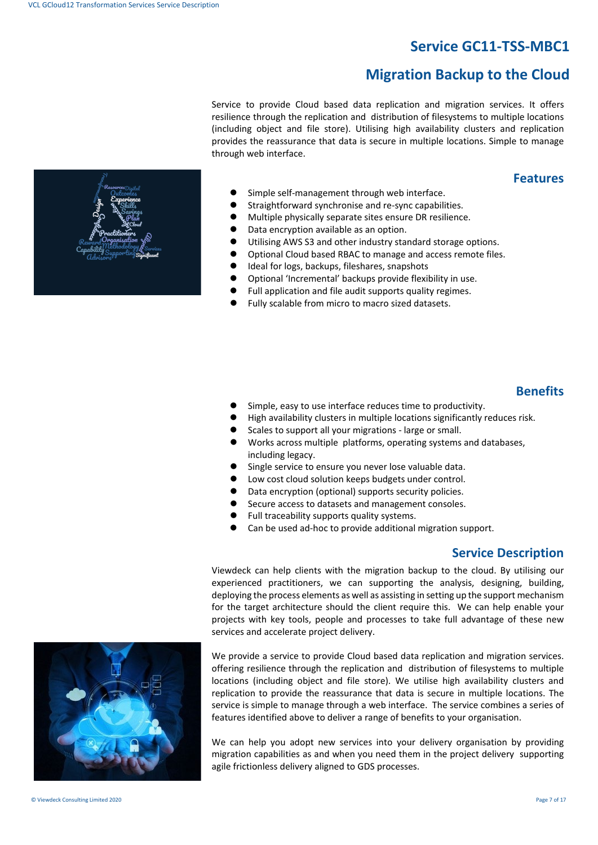# **Service GC11-TSS-MBC1**

# **Migration Backup to the Cloud**

Service to provide Cloud based data replication and migration services. It offers resilience through the replication and distribution of filesystems to multiple locations (including object and file store). Utilising high availability clusters and replication provides the reassurance that data is secure in multiple locations. Simple to manage through web interface.

### **Features**

- Simple self-management through web interface.
- Straightforward synchronise and re-sync capabilities.
- Multiple physically separate sites ensure DR resilience.
- Data encryption available as an option.
- Utilising AWS S3 and other industry standard storage options.
- Optional Cloud based RBAC to manage and access remote files.
- Ideal for logs, backups, fileshares, snapshots
- Optional 'Incremental' backups provide flexibility in use.
- Full application and file audit supports quality regimes.
- Fully scalable from micro to macro sized datasets.

### **Benefits**

- Simple, easy to use interface reduces time to productivity.
- High availability clusters in multiple locations significantly reduces risk.
- Scales to support all your migrations large or small.
- Works across multiple platforms, operating systems and databases, including legacy.
- Single service to ensure you never lose valuable data.
- Low cost cloud solution keeps budgets under control.
- Data encryption (optional) supports security policies.
- Secure access to datasets and management consoles.
- Full traceability supports quality systems.
- Can be used ad-hoc to provide additional migration support.

#### **Service Description**

Viewdeck can help clients with the migration backup to the cloud. By utilising our experienced practitioners, we can supporting the analysis, designing, building, deploying the process elements as well as assisting in setting up the support mechanism for the target architecture should the client require this. We can help enable your projects with key tools, people and processes to take full advantage of these new services and accelerate project delivery.

We provide a service to provide Cloud based data replication and migration services. offering resilience through the replication and distribution of filesystems to multiple locations (including object and file store). We utilise high availability clusters and replication to provide the reassurance that data is secure in multiple locations. The service is simple to manage through a web interface. The service combines a series of features identified above to deliver a range of benefits to your organisation.

We can help you adopt new services into your delivery organisation by providing migration capabilities as and when you need them in the project delivery supporting agile frictionless delivery aligned to GDS processes.



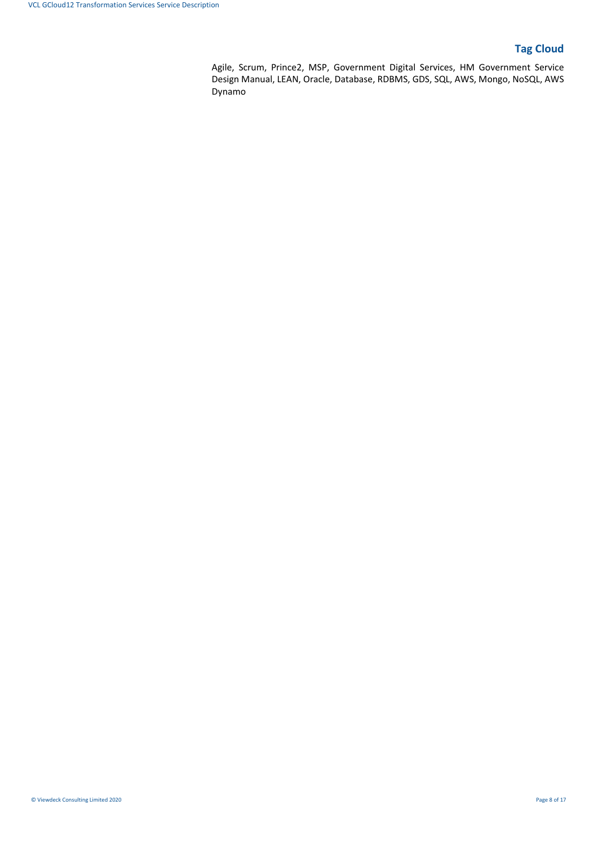## **Tag Cloud**

Agile, Scrum, Prince2, MSP, Government Digital Services, HM Government Service Design Manual, LEAN, Oracle, Database, RDBMS, GDS, SQL, AWS, Mongo, NoSQL, AWS Dynamo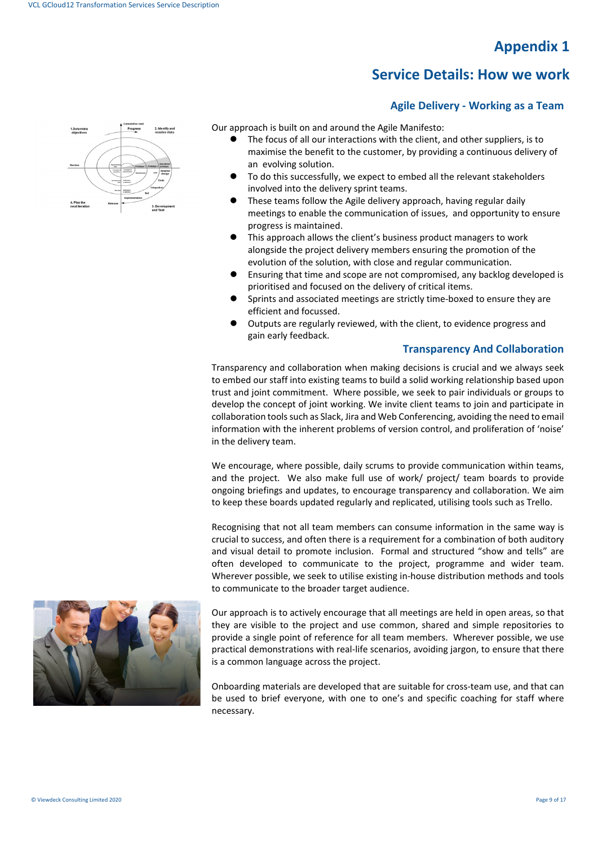# **Appendix 1**

## **Service Details: How we work**

#### **Agile Delivery - Working as a Team**

2. Identify and

Our approach is built on and around the Agile Manifesto:

- The focus of all our interactions with the client, and other suppliers, is to maximise the benefit to the customer, by providing a continuous delivery of an evolving solution.
- To do this successfully, we expect to embed all the relevant stakeholders involved into the delivery sprint teams.
- These teams follow the Agile delivery approach, having regular daily meetings to enable the communication of issues, and opportunity to ensure progress is maintained.
- This approach allows the client's business product managers to work alongside the project delivery members ensuring the promotion of the evolution of the solution, with close and regular communication.
- Ensuring that time and scope are not compromised, any backlog developed is prioritised and focused on the delivery of critical items.
- Sprints and associated meetings are strictly time-boxed to ensure they are efficient and focussed.
- Outputs are regularly reviewed, with the client, to evidence progress and gain early feedback.

#### **Transparency And Collaboration**

Transparency and collaboration when making decisions is crucial and we always seek to embed our staff into existing teams to build a solid working relationship based upon trust and joint commitment. Where possible, we seek to pair individuals or groups to develop the concept of joint working. We invite client teams to join and participate in collaboration tools such as Slack, Jira and Web Conferencing, avoiding the need to email information with the inherent problems of version control, and proliferation of 'noise' in the delivery team.

We encourage, where possible, daily scrums to provide communication within teams, and the project. We also make full use of work/ project/ team boards to provide ongoing briefings and updates, to encourage transparency and collaboration. We aim to keep these boards updated regularly and replicated, utilising tools such as Trello.

Recognising that not all team members can consume information in the same way is crucial to success, and often there is a requirement for a combination of both auditory and visual detail to promote inclusion. Formal and structured "show and tells" are often developed to communicate to the project, programme and wider team. Wherever possible, we seek to utilise existing in-house distribution methods and tools to communicate to the broader target audience.

Our approach is to actively encourage that all meetings are held in open areas, so that they are visible to the project and use common, shared and simple repositories to provide a single point of reference for all team members. Wherever possible, we use practical demonstrations with real-life scenarios, avoiding jargon, to ensure that there is a common language across the project.

Onboarding materials are developed that are suitable for cross-team use, and that can be used to brief everyone, with one to one's and specific coaching for staff where necessary.

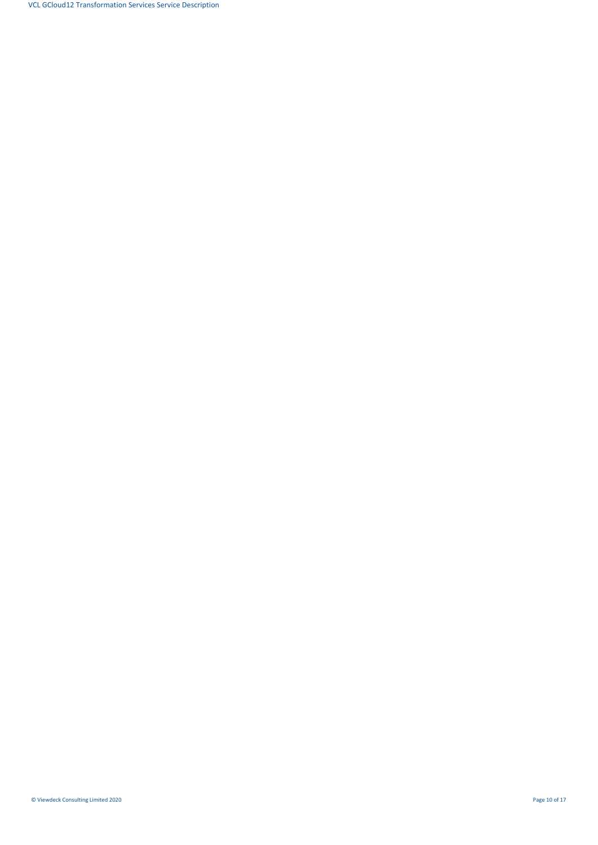VCL GCloud12 Transformation Services Service Description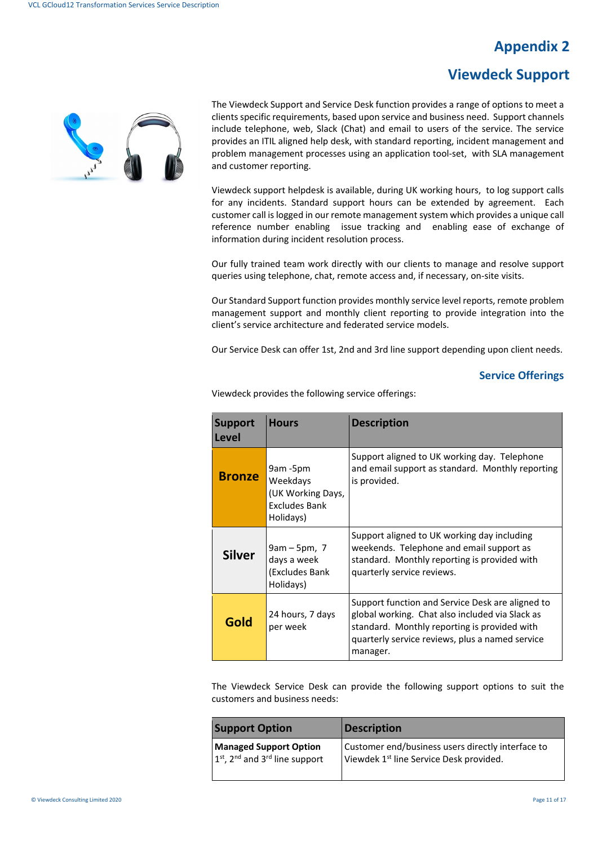# **Appendix 2**

# **Viewdeck Support**



The Viewdeck Support and Service Desk function provides a range of options to meet a clients specific requirements, based upon service and business need. Support channels include telephone, web, Slack (Chat) and email to users of the service. The service provides an ITIL aligned help desk, with standard reporting, incident management and problem management processes using an application tool-set, with SLA management and customer reporting.

Viewdeck support helpdesk is available, during UK working hours, to log support calls for any incidents. Standard support hours can be extended by agreement. Each customer call is logged in our remote management system which provides a unique call reference number enabling issue tracking and enabling ease of exchange of information during incident resolution process.

Our fully trained team work directly with our clients to manage and resolve support queries using telephone, chat, remote access and, if necessary, on-site visits.

Our Standard Support function provides monthly service level reports, remote problem management support and monthly client reporting to provide integration into the client's service architecture and federated service models.

Our Service Desk can offer 1st, 2nd and 3rd line support depending upon client needs.

#### **Service Offerings**

| <b>Support</b><br><b>Level</b> | <b>Hours</b>                                                            | <b>Description</b>                                                                                                                                                                                                 |
|--------------------------------|-------------------------------------------------------------------------|--------------------------------------------------------------------------------------------------------------------------------------------------------------------------------------------------------------------|
| <b>Bronze</b>                  | 9am -5pm<br>Weekdays<br>(UK Working Days,<br>Excludes Bank<br>Holidays) | Support aligned to UK working day. Telephone<br>and email support as standard. Monthly reporting<br>is provided.                                                                                                   |
| <b>Silver</b>                  | $9am - 5pm$ , 7<br>days a week<br>(Excludes Bank<br>Holidays)           | Support aligned to UK working day including<br>weekends. Telephone and email support as<br>standard. Monthly reporting is provided with<br>quarterly service reviews.                                              |
| Gold                           | 24 hours, 7 days<br>per week                                            | Support function and Service Desk are aligned to<br>global working. Chat also included via Slack as<br>standard. Monthly reporting is provided with<br>quarterly service reviews, plus a named service<br>manager. |

Viewdeck provides the following service offerings:

The Viewdeck Service Desk can provide the following support options to suit the customers and business needs:

| <b>Support Option</b>                                    | <b>Description</b>                                  |
|----------------------------------------------------------|-----------------------------------------------------|
| <b>Managed Support Option</b>                            | Customer end/business users directly interface to   |
| $1st$ , 2 <sup>nd</sup> and 3 <sup>rd</sup> line support | Viewdek 1 <sup>st</sup> line Service Desk provided. |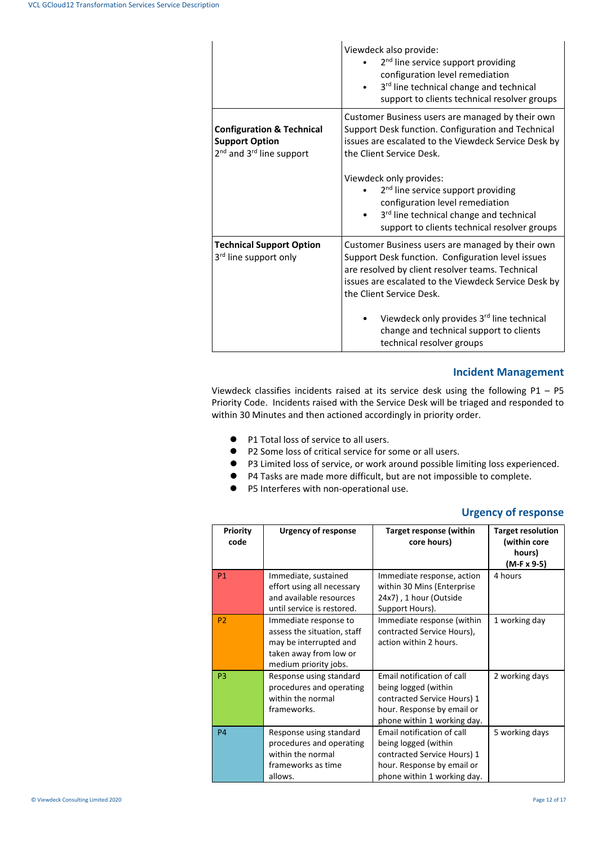|                                                                                                                   | Viewdeck also provide:<br>2 <sup>nd</sup> line service support providing<br>configuration level remediation<br>3rd line technical change and technical<br>support to clients technical resolver groups                                        |
|-------------------------------------------------------------------------------------------------------------------|-----------------------------------------------------------------------------------------------------------------------------------------------------------------------------------------------------------------------------------------------|
| <b>Configuration &amp; Technical</b><br><b>Support Option</b><br>2 <sup>nd</sup> and 3 <sup>rd</sup> line support | Customer Business users are managed by their own<br>Support Desk function. Configuration and Technical<br>issues are escalated to the Viewdeck Service Desk by<br>the Client Service Desk.                                                    |
|                                                                                                                   | Viewdeck only provides:<br>2 <sup>nd</sup> line service support providing<br>configuration level remediation<br>3rd line technical change and technical<br>support to clients technical resolver groups                                       |
| <b>Technical Support Option</b><br>3 <sup>rd</sup> line support only                                              | Customer Business users are managed by their own<br>Support Desk function. Configuration level issues<br>are resolved by client resolver teams. Technical<br>issues are escalated to the Viewdeck Service Desk by<br>the Client Service Desk. |
|                                                                                                                   | Viewdeck only provides 3rd line technical<br>change and technical support to clients<br>technical resolver groups                                                                                                                             |

### **Incident Management**

Viewdeck classifies incidents raised at its service desk using the following P1 – P5 Priority Code. Incidents raised with the Service Desk will be triaged and responded to within 30 Minutes and then actioned accordingly in priority order.

- P1 Total loss of service to all users.
- P2 Some loss of critical service for some or all users.
- P3 Limited loss of service, or work around possible limiting loss experienced.
- P4 Tasks are made more difficult, but are not impossible to complete.
- P5 Interferes with non-operational use.

### **Urgency of response**

| Priority<br>code | <b>Urgency of response</b>                                                                                                        | <b>Target response (within</b><br>core hours)                                                                                                  | <b>Target resolution</b><br>(within core<br>hours)<br>(M-F x 9-5) |
|------------------|-----------------------------------------------------------------------------------------------------------------------------------|------------------------------------------------------------------------------------------------------------------------------------------------|-------------------------------------------------------------------|
| <b>P1</b>        | Immediate, sustained<br>effort using all necessary<br>and available resources<br>until service is restored.                       | Immediate response, action<br>within 30 Mins (Enterprise<br>24x7), 1 hour (Outside<br>Support Hours).                                          | 4 hours                                                           |
| P <sub>2</sub>   | Immediate response to<br>assess the situation, staff<br>may be interrupted and<br>taken away from low or<br>medium priority jobs. | Immediate response (within<br>contracted Service Hours),<br>action within 2 hours.                                                             | 1 working day                                                     |
| P <sub>3</sub>   | Response using standard<br>procedures and operating<br>within the normal<br>frameworks.                                           | Email notification of call<br>being logged (within<br>contracted Service Hours) 1<br>hour. Response by email or<br>phone within 1 working day. | 2 working days                                                    |
| <b>P4</b>        | Response using standard<br>procedures and operating<br>within the normal<br>frameworks as time<br>allows.                         | Email notification of call<br>being logged (within<br>contracted Service Hours) 1<br>hour. Response by email or<br>phone within 1 working day. | 5 working days                                                    |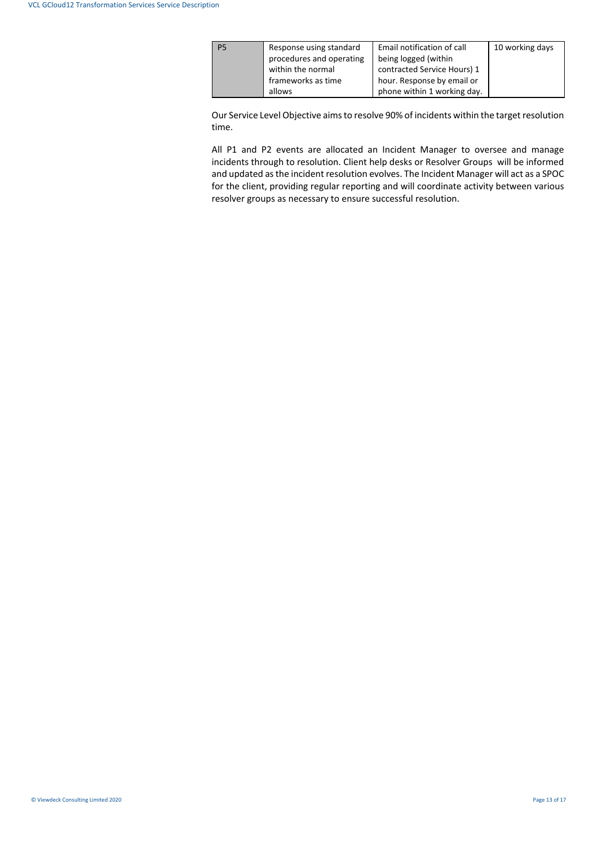| <b>P5</b> | Response using standard  | Email notification of call  | 10 working days |
|-----------|--------------------------|-----------------------------|-----------------|
|           | procedures and operating | being logged (within        |                 |
|           | within the normal        | contracted Service Hours) 1 |                 |
|           | frameworks as time       | hour. Response by email or  |                 |
|           | allows                   | phone within 1 working day. |                 |

Our Service Level Objective aims to resolve 90% of incidents within the target resolution time.

All P1 and P2 events are allocated an Incident Manager to oversee and manage incidents through to resolution. Client help desks or Resolver Groups will be informed and updated as the incident resolution evolves. The Incident Manager will act as a SPOC for the client, providing regular reporting and will coordinate activity between various resolver groups as necessary to ensure successful resolution.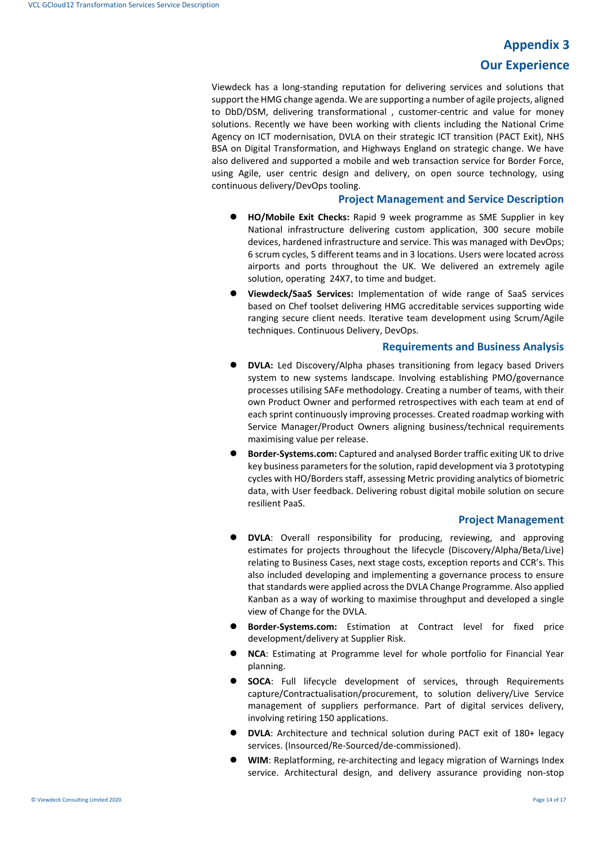# **Appendix 3 Our Experience**

Viewdeck has a long-standing reputation for delivering services and solutions that support the HMG change agenda. We are supporting a number of agile projects, aligned to DbD/DSM, delivering transformational , customer-centric and value for money solutions. Recently we have been working with clients including the National Crime Agency on ICT modernisation, DVLA on their strategic ICT transition (PACT Exit), NHS BSA on Digital Transformation, and Highways England on strategic change. We have also delivered and supported a mobile and web transaction service for Border Force, using Agile, user centric design and delivery, on open source technology, using continuous delivery/DevOps tooling.

#### **Project Management and Service Description**

- **HO/Mobile Exit Checks:** Rapid 9 week programme as SME Supplier in key National infrastructure delivering custom application, 300 secure mobile devices, hardened infrastructure and service. This was managed with DevOps; 6 scrum cycles, 5 different teams and in 3 locations. Users were located across airports and ports throughout the UK. We delivered an extremely agile solution, operating 24X7, to time and budget.
- **Viewdeck/SaaS Services:** Implementation of wide range of SaaS services based on Chef toolset delivering HMG accreditable services supporting wide ranging secure client needs. Iterative team development using Scrum/Agile techniques. Continuous Delivery, DevOps.

#### **Requirements and Business Analysis**

- **DVLA:** Led Discovery/Alpha phases transitioning from legacy based Drivers system to new systems landscape. Involving establishing PMO/governance processes utilising SAFe methodology. Creating a number of teams, with their own Product Owner and performed retrospectives with each team at end of each sprint continuously improving processes. Created roadmap working with Service Manager/Product Owners aligning business/technical requirements maximising value per release.
- **Border-Systems.com:** Captured and analysed Border traffic exiting UK to drive key business parameters for the solution, rapid development via 3 prototyping cycles with HO/Borders staff, assessing Metric providing analytics of biometric data, with User feedback. Delivering robust digital mobile solution on secure resilient PaaS.

### **Project Management**

- **DVLA**: Overall responsibility for producing, reviewing, and approving estimates for projects throughout the lifecycle (Discovery/Alpha/Beta/Live) relating to Business Cases, next stage costs, exception reports and CCR's. This also included developing and implementing a governance process to ensure that standards were applied across the DVLA Change Programme. Also applied Kanban as a way of working to maximise throughput and developed a single view of Change for the DVLA.
- **Border-Systems.com:** Estimation at Contract level for fixed price development/delivery at Supplier Risk.
- **NCA**: Estimating at Programme level for whole portfolio for Financial Year planning.
- **SOCA**: Full lifecycle development of services, through Requirements capture/Contractualisation/procurement, to solution delivery/Live Service management of suppliers performance. Part of digital services delivery, involving retiring 150 applications.
- **DVLA**: Architecture and technical solution during PACT exit of 180+ legacy services. (Insourced/Re-Sourced/de-commissioned).
- **WIM**: Replatforming, re-architecting and legacy migration of Warnings Index service. Architectural design, and delivery assurance providing non-stop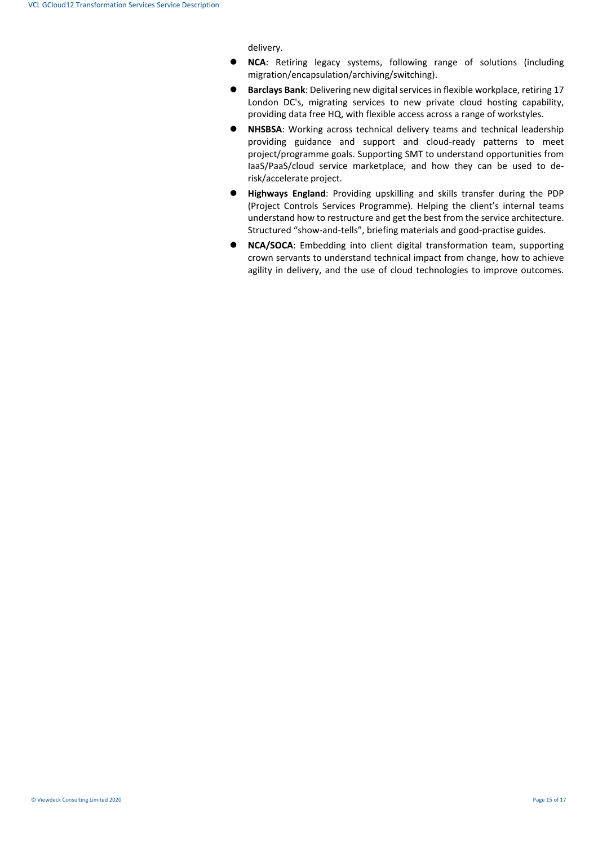delivery.

- **NCA**: Retiring legacy systems, following range of solutions (including migration/encapsulation/archiving/switching).
- **Barclays Bank**: Delivering new digital services in flexible workplace, retiring 17 London DC's, migrating services to new private cloud hosting capability, providing data free HQ, with flexible access across a range of workstyles.
- **NHSBSA**: Working across technical delivery teams and technical leadership providing guidance and support and cloud-ready patterns to meet project/programme goals. Supporting SMT to understand opportunities from IaaS/PaaS/cloud service marketplace, and how they can be used to derisk/accelerate project.
- **Highways England**: Providing upskilling and skills transfer during the PDP (Project Controls Services Programme). Helping the client's internal teams understand how to restructure and get the best from the service architecture. Structured "show-and-tells", briefing materials and good-practise guides.
- **NCA/SOCA**: Embedding into client digital transformation team, supporting crown servants to understand technical impact from change, how to achieve agility in delivery, and the use of cloud technologies to improve outcomes.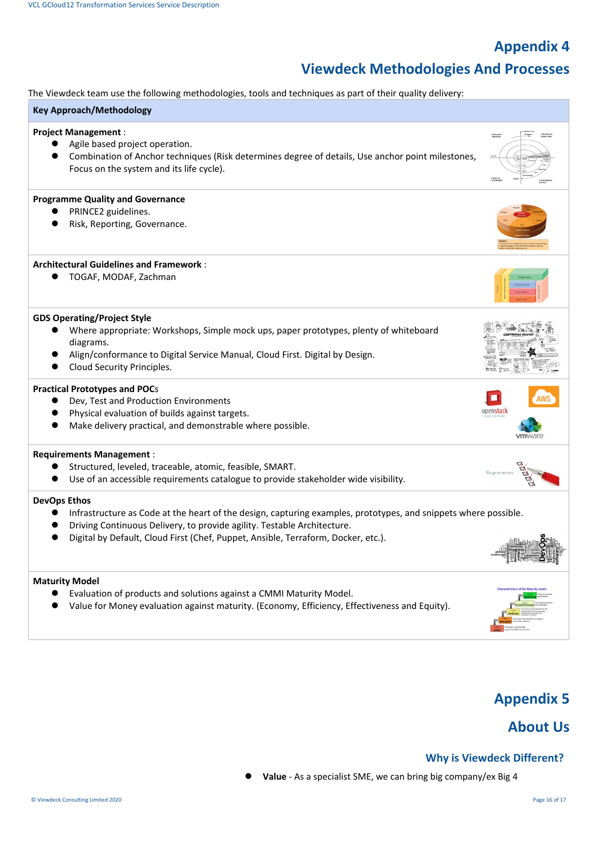# **Appendix 4 Viewdeck Methodologies And Processes**

The Viewdeck team use the following methodologies, tools and techniques as part of their quality delivery:



# **Appendix 5**

# **About Us**

### **Why is Viewdeck Different?**

**Value** - As a specialist SME, we can bring big company/ex Big 4